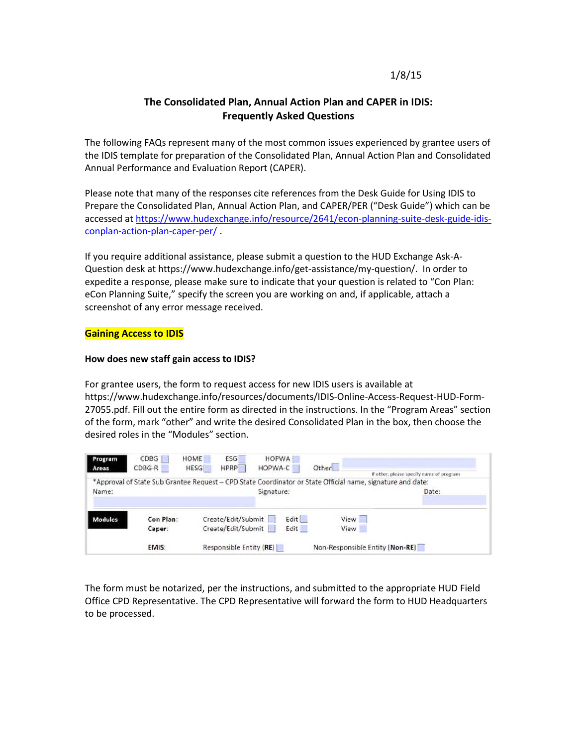# 1/8/15

# **The Consolidated Plan, Annual Action Plan and CAPER in IDIS: Frequently Asked Questions**

The following FAQs represent many of the most common issues experienced by grantee users of the IDIS template for preparation of the Consolidated Plan, Annual Action Plan and Consolidated Annual Performance and Evaluation Report (CAPER).

Please note that many of the responses cite references from the Desk Guide for Using IDIS to Prepare the Consolidated Plan, Annual Action Plan, and CAPER/PER ("Desk Guide") which can be accessed at [https://www.hudexchange.info/resource/2641/econ-planning-suite-desk-guide-idis](https://www.hudexchange.info/resource/2641/econ-planning-suite-desk-guide-idis-conplan-action-plan-caper-per/)[conplan-action-plan-caper-per/](https://www.hudexchange.info/resource/2641/econ-planning-suite-desk-guide-idis-conplan-action-plan-caper-per/) .

If you require additional assistance, please submit a question to the HUD Exchange Ask-A-Question desk at https://www.hudexchange.info/get-assistance/my-question/. In order to expedite a response, please make sure to indicate that your question is related to "Con Plan: eCon Planning Suite," specify the screen you are working on and, if applicable, attach a screenshot of any error message received.

## **Gaining Access to IDIS**

#### **How does new staff gain access to IDIS?**

For grantee users, the form to request access for new IDIS users is available at https://www.hudexchange.info/resources/documents/IDIS-Online-Access-Request-HUD-Form-27055.pdf. Fill out the entire form as directed in the instructions. In the "Program Areas" section of the form, mark "other" and write the desired Consolidated Plan in the box, then choose the desired roles in the "Modules" section.

| Program<br>Areas | CDBG<br>$CDBG-R$    | HOME<br><b>ESG</b><br><b>HESG</b><br><b>HPRP</b>                                                           | <b>HOPWA</b><br>HOPWA-C | Other        | If other, please specify name of program |
|------------------|---------------------|------------------------------------------------------------------------------------------------------------|-------------------------|--------------|------------------------------------------|
|                  |                     | *Approval of State Sub Grantee Request - CPD State Coordinator or State Official name, signature and date: |                         |              |                                          |
| Name:            |                     | Signature:                                                                                                 |                         |              | Date:                                    |
| <b>Modules</b>   | Con Plan:<br>Caper: | Create/Edit/Submit<br>Create/Edit/Submit                                                                   | Edit<br>Edit            | View<br>View |                                          |
|                  | EMIS:               | Responsible Entity (RE)                                                                                    |                         |              | Non-Responsible Entity (Non-RE)          |

The form must be notarized, per the instructions, and submitted to the appropriate HUD Field Office CPD Representative. The CPD Representative will forward the form to HUD Headquarters to be processed.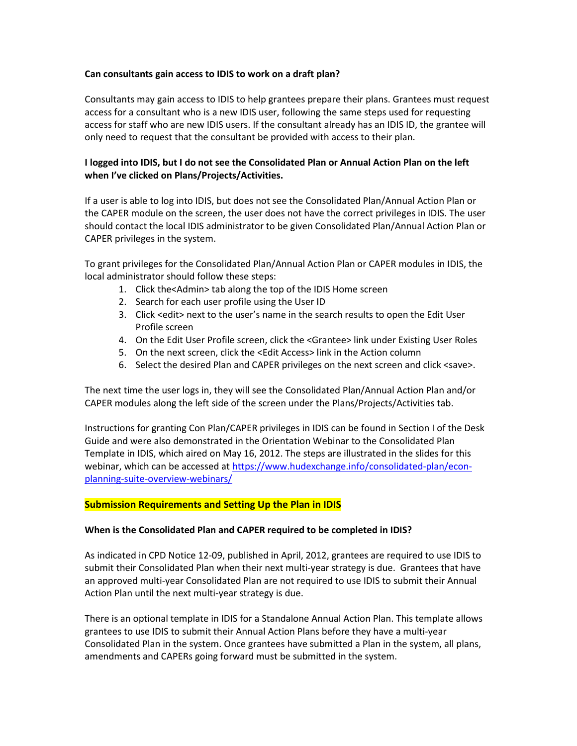#### **Can consultants gain access to IDIS to work on a draft plan?**

Consultants may gain access to IDIS to help grantees prepare their plans. Grantees must request access for a consultant who is a new IDIS user, following the same steps used for requesting access for staff who are new IDIS users. If the consultant already has an IDIS ID, the grantee will only need to request that the consultant be provided with access to their plan.

## **I logged into IDIS, but I do not see the Consolidated Plan or Annual Action Plan on the left when I've clicked on Plans/Projects/Activities.**

If a user is able to log into IDIS, but does not see the Consolidated Plan/Annual Action Plan or the CAPER module on the screen, the user does not have the correct privileges in IDIS. The user should contact the local IDIS administrator to be given Consolidated Plan/Annual Action Plan or CAPER privileges in the system.

To grant privileges for the Consolidated Plan/Annual Action Plan or CAPER modules in IDIS, the local administrator should follow these steps:

- 1. Click the<Admin> tab along the top of the IDIS Home screen
- 2. Search for each user profile using the User ID
- 3. Click <edit> next to the user's name in the search results to open the Edit User Profile screen
- 4. On the Edit User Profile screen, click the <Grantee> link under Existing User Roles
- 5. On the next screen, click the <Edit Access> link in the Action column
- 6. Select the desired Plan and CAPER privileges on the next screen and click <save>.

The next time the user logs in, they will see the Consolidated Plan/Annual Action Plan and/or CAPER modules along the left side of the screen under the Plans/Projects/Activities tab.

Instructions for granting Con Plan/CAPER privileges in IDIS can be found in Section I of the Desk Guide and were also demonstrated in the Orientation Webinar to the Consolidated Plan Template in IDIS, which aired on May 16, 2012. The steps are illustrated in the slides for this webinar, which can be accessed at [https://www.hudexchange.info/consolidated-plan/econ](https://www.hudexchange.info/consolidated-plan/econ-planning-suite-overview-webinars/)[planning-suite-overview-webinars/](https://www.hudexchange.info/consolidated-plan/econ-planning-suite-overview-webinars/)

## **Submission Requirements and Setting Up the Plan in IDIS**

#### **When is the Consolidated Plan and CAPER required to be completed in IDIS?**

As indicated in CPD Notice 12-09, published in April, 2012, grantees are required to use IDIS to submit their Consolidated Plan when their next multi-year strategy is due. Grantees that have an approved multi-year Consolidated Plan are not required to use IDIS to submit their Annual Action Plan until the next multi-year strategy is due.

There is an optional template in IDIS for a Standalone Annual Action Plan. This template allows grantees to use IDIS to submit their Annual Action Plans before they have a multi-year Consolidated Plan in the system. Once grantees have submitted a Plan in the system, all plans, amendments and CAPERs going forward must be submitted in the system.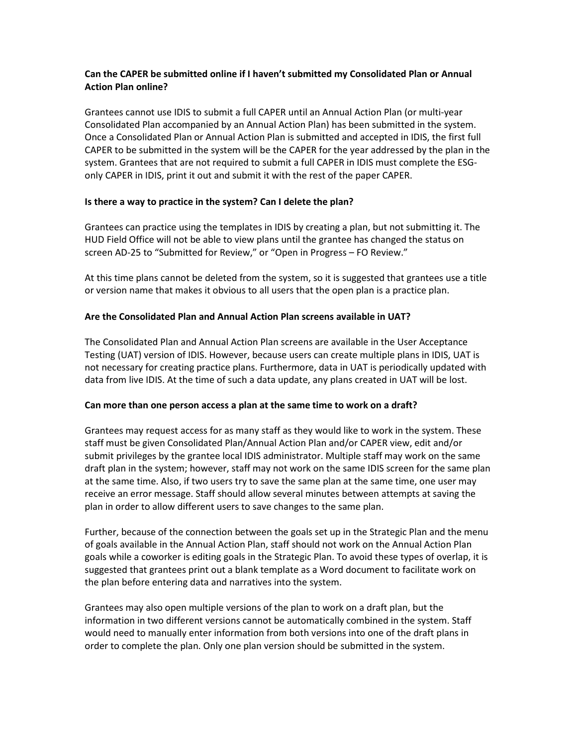## **Can the CAPER be submitted online if I haven't submitted my Consolidated Plan or Annual Action Plan online?**

Grantees cannot use IDIS to submit a full CAPER until an Annual Action Plan (or multi-year Consolidated Plan accompanied by an Annual Action Plan) has been submitted in the system. Once a Consolidated Plan or Annual Action Plan is submitted and accepted in IDIS, the first full CAPER to be submitted in the system will be the CAPER for the year addressed by the plan in the system. Grantees that are not required to submit a full CAPER in IDIS must complete the ESGonly CAPER in IDIS, print it out and submit it with the rest of the paper CAPER.

## **Is there a way to practice in the system? Can I delete the plan?**

Grantees can practice using the templates in IDIS by creating a plan, but not submitting it. The HUD Field Office will not be able to view plans until the grantee has changed the status on screen AD-25 to "Submitted for Review," or "Open in Progress – FO Review."

At this time plans cannot be deleted from the system, so it is suggested that grantees use a title or version name that makes it obvious to all users that the open plan is a practice plan.

## **Are the Consolidated Plan and Annual Action Plan screens available in UAT?**

The Consolidated Plan and Annual Action Plan screens are available in the User Acceptance Testing (UAT) version of IDIS. However, because users can create multiple plans in IDIS, UAT is not necessary for creating practice plans. Furthermore, data in UAT is periodically updated with data from live IDIS. At the time of such a data update, any plans created in UAT will be lost.

## **Can more than one person access a plan at the same time to work on a draft?**

Grantees may request access for as many staff as they would like to work in the system. These staff must be given Consolidated Plan/Annual Action Plan and/or CAPER view, edit and/or submit privileges by the grantee local IDIS administrator. Multiple staff may work on the same draft plan in the system; however, staff may not work on the same IDIS screen for the same plan at the same time. Also, if two users try to save the same plan at the same time, one user may receive an error message. Staff should allow several minutes between attempts at saving the plan in order to allow different users to save changes to the same plan.

Further, because of the connection between the goals set up in the Strategic Plan and the menu of goals available in the Annual Action Plan, staff should not work on the Annual Action Plan goals while a coworker is editing goals in the Strategic Plan. To avoid these types of overlap, it is suggested that grantees print out a blank template as a Word document to facilitate work on the plan before entering data and narratives into the system.

Grantees may also open multiple versions of the plan to work on a draft plan, but the information in two different versions cannot be automatically combined in the system. Staff would need to manually enter information from both versions into one of the draft plans in order to complete the plan. Only one plan version should be submitted in the system.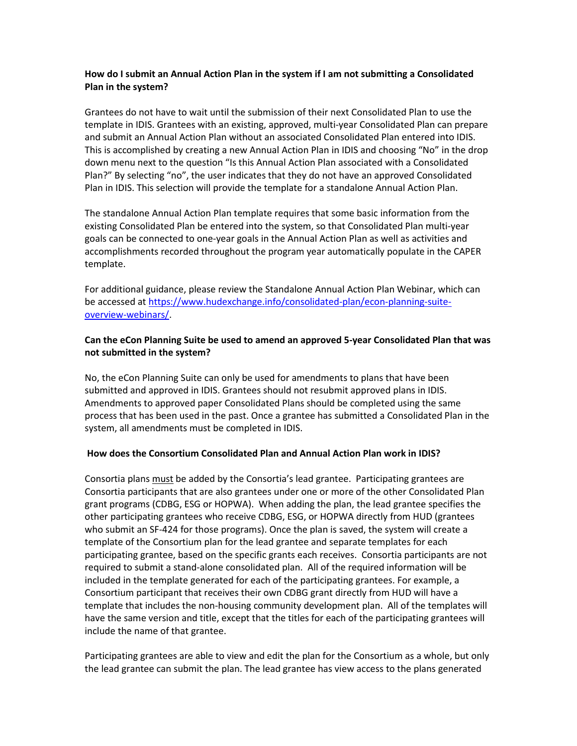## **How do I submit an Annual Action Plan in the system if I am not submitting a Consolidated Plan in the system?**

Grantees do not have to wait until the submission of their next Consolidated Plan to use the template in IDIS. Grantees with an existing, approved, multi-year Consolidated Plan can prepare and submit an Annual Action Plan without an associated Consolidated Plan entered into IDIS. This is accomplished by creating a new Annual Action Plan in IDIS and choosing "No" in the drop down menu next to the question "Is this Annual Action Plan associated with a Consolidated Plan?" By selecting "no", the user indicates that they do not have an approved Consolidated Plan in IDIS. This selection will provide the template for a standalone Annual Action Plan.

The standalone Annual Action Plan template requires that some basic information from the existing Consolidated Plan be entered into the system, so that Consolidated Plan multi-year goals can be connected to one-year goals in the Annual Action Plan as well as activities and accomplishments recorded throughout the program year automatically populate in the CAPER template.

For additional guidance, please review the Standalone Annual Action Plan Webinar, which can be accessed at [https://www.hudexchange.info/consolidated-plan/econ-planning-suite](https://www.hudexchange.info/consolidated-plan/econ-planning-suite-overview-webinars/)[overview-webinars/.](https://www.hudexchange.info/consolidated-plan/econ-planning-suite-overview-webinars/)

## **Can the eCon Planning Suite be used to amend an approved 5-year Consolidated Plan that was not submitted in the system?**

No, the eCon Planning Suite can only be used for amendments to plans that have been submitted and approved in IDIS. Grantees should not resubmit approved plans in IDIS. Amendments to approved paper Consolidated Plans should be completed using the same process that has been used in the past. Once a grantee has submitted a Consolidated Plan in the system, all amendments must be completed in IDIS.

## **How does the Consortium Consolidated Plan and Annual Action Plan work in IDIS?**

Consortia plans must be added by the Consortia's lead grantee. Participating grantees are Consortia participants that are also grantees under one or more of the other Consolidated Plan grant programs (CDBG, ESG or HOPWA). When adding the plan, the lead grantee specifies the other participating grantees who receive CDBG, ESG, or HOPWA directly from HUD (grantees who submit an SF-424 for those programs). Once the plan is saved, the system will create a template of the Consortium plan for the lead grantee and separate templates for each participating grantee, based on the specific grants each receives. Consortia participants are not required to submit a stand-alone consolidated plan. All of the required information will be included in the template generated for each of the participating grantees. For example, a Consortium participant that receives their own CDBG grant directly from HUD will have a template that includes the non-housing community development plan. All of the templates will have the same version and title, except that the titles for each of the participating grantees will include the name of that grantee.

Participating grantees are able to view and edit the plan for the Consortium as a whole, but only the lead grantee can submit the plan. The lead grantee has view access to the plans generated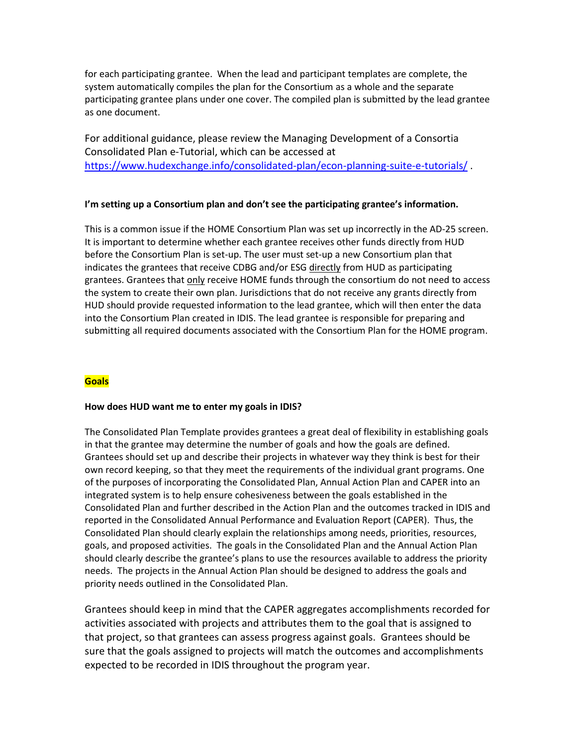for each participating grantee. When the lead and participant templates are complete, the system automatically compiles the plan for the Consortium as a whole and the separate participating grantee plans under one cover. The compiled plan is submitted by the lead grantee as one document.

For additional guidance, please review the Managing Development of a Consortia Consolidated Plan e-Tutorial, which can be accessed at <https://www.hudexchange.info/consolidated-plan/econ-planning-suite-e-tutorials/> .

## **I'm setting up a Consortium plan and don't see the participating grantee's information.**

This is a common issue if the HOME Consortium Plan was set up incorrectly in the AD-25 screen. It is important to determine whether each grantee receives other funds directly from HUD before the Consortium Plan is set-up. The user must set-up a new Consortium plan that indicates the grantees that receive CDBG and/or ESG directly from HUD as participating grantees. Grantees that only receive HOME funds through the consortium do not need to access the system to create their own plan. Jurisdictions that do not receive any grants directly from HUD should provide requested information to the lead grantee, which will then enter the data into the Consortium Plan created in IDIS. The lead grantee is responsible for preparing and submitting all required documents associated with the Consortium Plan for the HOME program.

# **Goals**

## **How does HUD want me to enter my goals in IDIS?**

The Consolidated Plan Template provides grantees a great deal of flexibility in establishing goals in that the grantee may determine the number of goals and how the goals are defined. Grantees should set up and describe their projects in whatever way they think is best for their own record keeping, so that they meet the requirements of the individual grant programs. One of the purposes of incorporating the Consolidated Plan, Annual Action Plan and CAPER into an integrated system is to help ensure cohesiveness between the goals established in the Consolidated Plan and further described in the Action Plan and the outcomes tracked in IDIS and reported in the Consolidated Annual Performance and Evaluation Report (CAPER). Thus, the Consolidated Plan should clearly explain the relationships among needs, priorities, resources, goals, and proposed activities. The goals in the Consolidated Plan and the Annual Action Plan should clearly describe the grantee's plans to use the resources available to address the priority needs. The projects in the Annual Action Plan should be designed to address the goals and priority needs outlined in the Consolidated Plan.

Grantees should keep in mind that the CAPER aggregates accomplishments recorded for activities associated with projects and attributes them to the goal that is assigned to that project, so that grantees can assess progress against goals. Grantees should be sure that the goals assigned to projects will match the outcomes and accomplishments expected to be recorded in IDIS throughout the program year.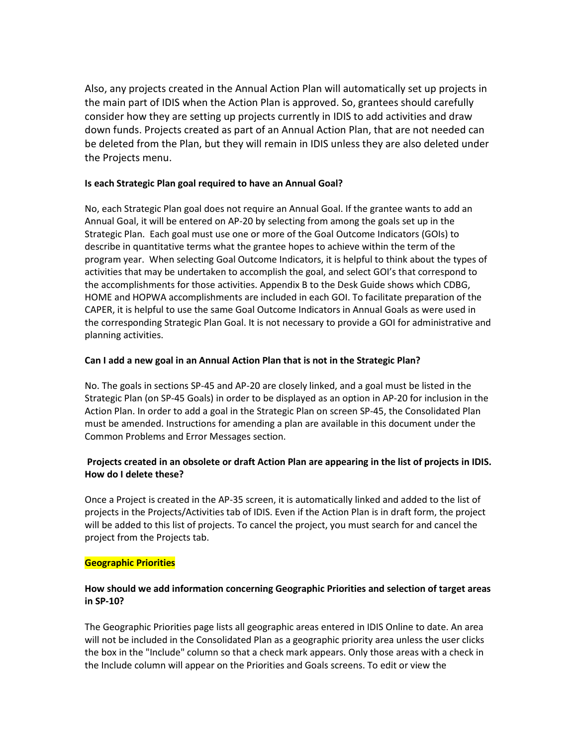Also, any projects created in the Annual Action Plan will automatically set up projects in the main part of IDIS when the Action Plan is approved. So, grantees should carefully consider how they are setting up projects currently in IDIS to add activities and draw down funds. Projects created as part of an Annual Action Plan, that are not needed can be deleted from the Plan, but they will remain in IDIS unless they are also deleted under the Projects menu.

## **Is each Strategic Plan goal required to have an Annual Goal?**

No, each Strategic Plan goal does not require an Annual Goal. If the grantee wants to add an Annual Goal, it will be entered on AP-20 by selecting from among the goals set up in the Strategic Plan. Each goal must use one or more of the Goal Outcome Indicators (GOIs) to describe in quantitative terms what the grantee hopes to achieve within the term of the program year. When selecting Goal Outcome Indicators, it is helpful to think about the types of activities that may be undertaken to accomplish the goal, and select GOI's that correspond to the accomplishments for those activities. Appendix B to the Desk Guide shows which CDBG, HOME and HOPWA accomplishments are included in each GOI. To facilitate preparation of the CAPER, it is helpful to use the same Goal Outcome Indicators in Annual Goals as were used in the corresponding Strategic Plan Goal. It is not necessary to provide a GOI for administrative and planning activities.

## **Can I add a new goal in an Annual Action Plan that is not in the Strategic Plan?**

No. The goals in sections SP-45 and AP-20 are closely linked, and a goal must be listed in the Strategic Plan (on SP-45 Goals) in order to be displayed as an option in AP-20 for inclusion in the Action Plan. In order to add a goal in the Strategic Plan on screen SP-45, the Consolidated Plan must be amended. Instructions for amending a plan are available in this document under the Common Problems and Error Messages section.

# **Projects created in an obsolete or draft Action Plan are appearing in the list of projects in IDIS. How do I delete these?**

Once a Project is created in the AP-35 screen, it is automatically linked and added to the list of projects in the Projects/Activities tab of IDIS. Even if the Action Plan is in draft form, the project will be added to this list of projects. To cancel the project, you must search for and cancel the project from the Projects tab.

## **Geographic Priorities**

## **How should we add information concerning Geographic Priorities and selection of target areas in SP-10?**

The Geographic Priorities page lists all geographic areas entered in IDIS Online to date. An area will not be included in the Consolidated Plan as a geographic priority area unless the user clicks the box in the "Include" column so that a check mark appears. Only those areas with a check in the Include column will appear on the Priorities and Goals screens. To edit or view the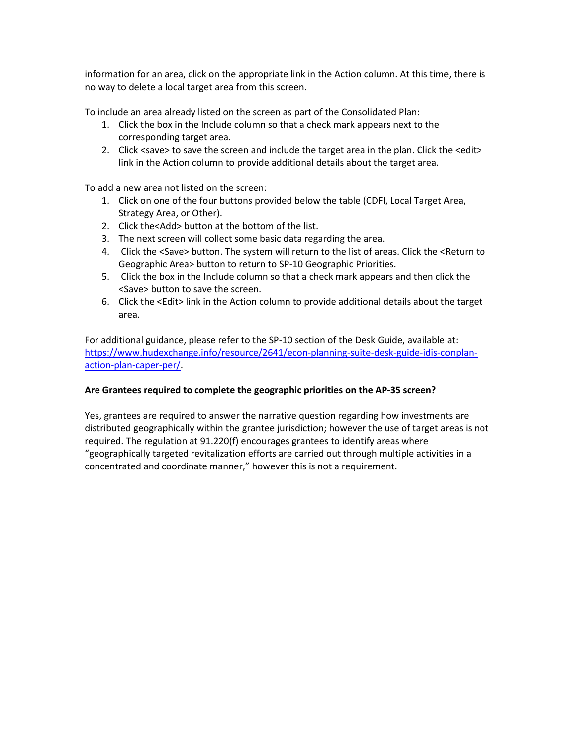information for an area, click on the appropriate link in the Action column. At this time, there is no way to delete a local target area from this screen.

To include an area already listed on the screen as part of the Consolidated Plan:

- 1. Click the box in the Include column so that a check mark appears next to the corresponding target area.
- 2. Click <save> to save the screen and include the target area in the plan. Click the <edit> link in the Action column to provide additional details about the target area.

To add a new area not listed on the screen:

- 1. Click on one of the four buttons provided below the table (CDFI, Local Target Area, Strategy Area, or Other).
- 2. Click the<Add> button at the bottom of the list.
- 3. The next screen will collect some basic data regarding the area.
- 4. Click the <Save> button. The system will return to the list of areas. Click the <Return to Geographic Area> button to return to SP-10 Geographic Priorities.
- 5. Click the box in the Include column so that a check mark appears and then click the <Save> button to save the screen.
- 6. Click the <Edit> link in the Action column to provide additional details about the target area.

For additional guidance, please refer to the SP-10 section of the Desk Guide, available at: [https://www.hudexchange.info/resource/2641/econ-planning-suite-desk-guide-idis-conplan](https://www.hudexchange.info/resource/2641/econ-planning-suite-desk-guide-idis-conplan-action-plan-caper-per/)[action-plan-caper-per/.](https://www.hudexchange.info/resource/2641/econ-planning-suite-desk-guide-idis-conplan-action-plan-caper-per/)

## **Are Grantees required to complete the geographic priorities on the AP-35 screen?**

Yes, grantees are required to answer the narrative question regarding how investments are distributed geographically within the grantee jurisdiction; however the use of target areas is not required. The regulation at 91.220(f) encourages grantees to identify areas where "geographically targeted revitalization efforts are carried out through multiple activities in a concentrated and coordinate manner," however this is not a requirement.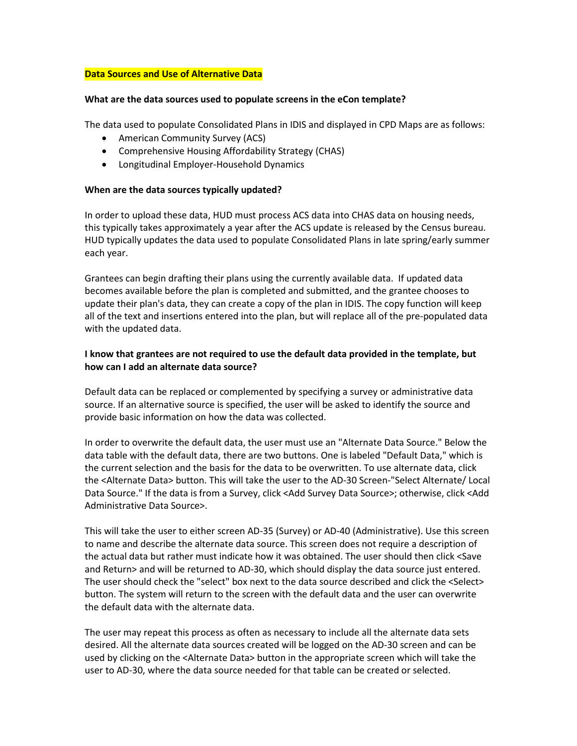#### **Data Sources and Use of Alternative Data**

#### **What are the data sources used to populate screens in the eCon template?**

The data used to populate Consolidated Plans in IDIS and displayed in CPD Maps are as follows:

- American Community Survey (ACS)
- Comprehensive Housing Affordability Strategy (CHAS)
- Longitudinal Employer-Household Dynamics

#### **When are the data sources typically updated?**

In order to upload these data, HUD must process ACS data into CHAS data on housing needs, this typically takes approximately a year after the ACS update is released by the Census bureau. HUD typically updates the data used to populate Consolidated Plans in late spring/early summer each year.

Grantees can begin drafting their plans using the currently available data. If updated data becomes available before the plan is completed and submitted, and the grantee chooses to update their plan's data, they can create a copy of the plan in IDIS. The copy function will keep all of the text and insertions entered into the plan, but will replace all of the pre-populated data with the updated data.

## **I know that grantees are not required to use the default data provided in the template, but how can I add an alternate data source?**

Default data can be replaced or complemented by specifying a survey or administrative data source. If an alternative source is specified, the user will be asked to identify the source and provide basic information on how the data was collected.

In order to overwrite the default data, the user must use an "Alternate Data Source." Below the data table with the default data, there are two buttons. One is labeled "Default Data," which is the current selection and the basis for the data to be overwritten. To use alternate data, click the <Alternate Data> button. This will take the user to the AD-30 Screen-"Select Alternate/ Local Data Source." If the data is from a Survey, click <Add Survey Data Source>; otherwise, click <Add Administrative Data Source>.

This will take the user to either screen AD-35 (Survey) or AD-40 (Administrative). Use this screen to name and describe the alternate data source. This screen does not require a description of the actual data but rather must indicate how it was obtained. The user should then click <Save and Return> and will be returned to AD-30, which should display the data source just entered. The user should check the "select" box next to the data source described and click the <Select> button. The system will return to the screen with the default data and the user can overwrite the default data with the alternate data.

The user may repeat this process as often as necessary to include all the alternate data sets desired. All the alternate data sources created will be logged on the AD-30 screen and can be used by clicking on the <Alternate Data> button in the appropriate screen which will take the user to AD-30, where the data source needed for that table can be created or selected.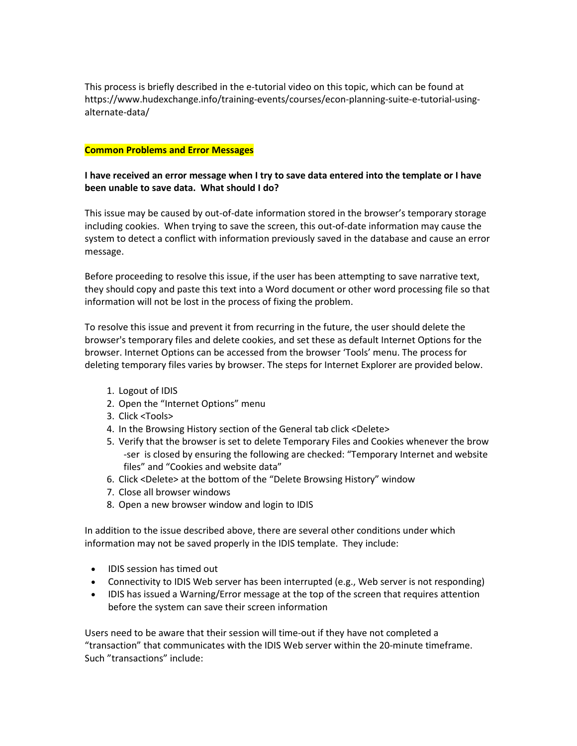This process is briefly described in the e-tutorial video on this topic, which can be found at https://www.hudexchange.info/training-events/courses/econ-planning-suite-e-tutorial-usingalternate-data/

#### **Common Problems and Error Messages**

## **I have received an error message when I try to save data entered into the template or I have been unable to save data. What should I do?**

This issue may be caused by out-of-date information stored in the browser's temporary storage including cookies. When trying to save the screen, this out-of-date information may cause the system to detect a conflict with information previously saved in the database and cause an error message.

Before proceeding to resolve this issue, if the user has been attempting to save narrative text, they should copy and paste this text into a Word document or other word processing file so that information will not be lost in the process of fixing the problem.

To resolve this issue and prevent it from recurring in the future, the user should delete the browser's temporary files and delete cookies, and set these as default Internet Options for the browser. Internet Options can be accessed from the browser 'Tools' menu. The process for deleting temporary files varies by browser. The steps for Internet Explorer are provided below.

- 1. Logout of IDIS
- 2. Open the "Internet Options" menu
- 3. Click <Tools>
- 4. In the Browsing History section of the General tab click <Delete>
- 5. Verify that the browser is set to delete Temporary Files and Cookies whenever the brow -ser is closed by ensuring the following are checked: "Temporary Internet and website files" and "Cookies and website data"
- 6. Click <Delete> at the bottom of the "Delete Browsing History" window
- 7. Close all browser windows
- 8. Open a new browser window and login to IDIS

In addition to the issue described above, there are several other conditions under which information may not be saved properly in the IDIS template. They include:

- IDIS session has timed out
- Connectivity to IDIS Web server has been interrupted (e.g., Web server is not responding)
- IDIS has issued a Warning/Error message at the top of the screen that requires attention before the system can save their screen information

Users need to be aware that their session will time-out if they have not completed a "transaction" that communicates with the IDIS Web server within the 20-minute timeframe. Such "transactions" include: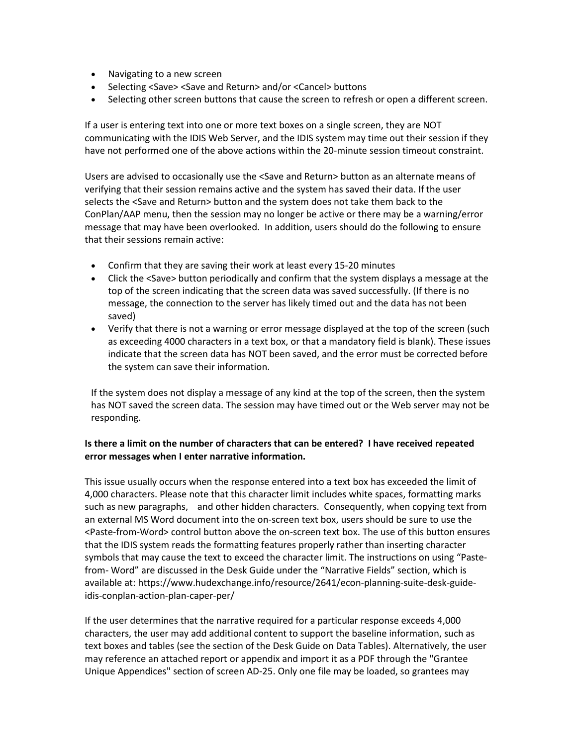- Navigating to a new screen
- Selecting <Save> <Save and Return> and/or <Cancel> buttons
- Selecting other screen buttons that cause the screen to refresh or open a different screen.

If a user is entering text into one or more text boxes on a single screen, they are NOT communicating with the IDIS Web Server, and the IDIS system may time out their session if they have not performed one of the above actions within the 20-minute session timeout constraint.

Users are advised to occasionally use the <Save and Return> button as an alternate means of verifying that their session remains active and the system has saved their data. If the user selects the <Save and Return> button and the system does not take them back to the ConPlan/AAP menu, then the session may no longer be active or there may be a warning/error message that may have been overlooked. In addition, users should do the following to ensure that their sessions remain active:

- Confirm that they are saving their work at least every 15-20 minutes
- Click the <Save> button periodically and confirm that the system displays a message at the top of the screen indicating that the screen data was saved successfully. (If there is no message, the connection to the server has likely timed out and the data has not been saved)
- Verify that there is not a warning or error message displayed at the top of the screen (such as exceeding 4000 characters in a text box, or that a mandatory field is blank). These issues indicate that the screen data has NOT been saved, and the error must be corrected before the system can save their information.

If the system does not display a message of any kind at the top of the screen, then the system has NOT saved the screen data. The session may have timed out or the Web server may not be responding.

# **Is there a limit on the number of characters that can be entered? I have received repeated error messages when I enter narrative information.**

This issue usually occurs when the response entered into a text box has exceeded the limit of 4,000 characters. Please note that this character limit includes white spaces, formatting marks such as new paragraphs, and other hidden characters. Consequently, when copying text from an external MS Word document into the on-screen text box, users should be sure to use the <Paste-from-Word> control button above the on-screen text box. The use of this button ensures that the IDIS system reads the formatting features properly rather than inserting character symbols that may cause the text to exceed the character limit. The instructions on using "Pastefrom- Word" are discussed in the Desk Guide under the "Narrative Fields" section, which is available at: https://www.hudexchange.info/resource/2641/econ-planning-suite-desk-guideidis-conplan-action-plan-caper-per/

If the user determines that the narrative required for a particular response exceeds 4,000 characters, the user may add additional content to support the baseline information, such as text boxes and tables (see the section of the Desk Guide on Data Tables). Alternatively, the user may reference an attached report or appendix and import it as a PDF through the "Grantee Unique Appendices" section of screen AD-25. Only one file may be loaded, so grantees may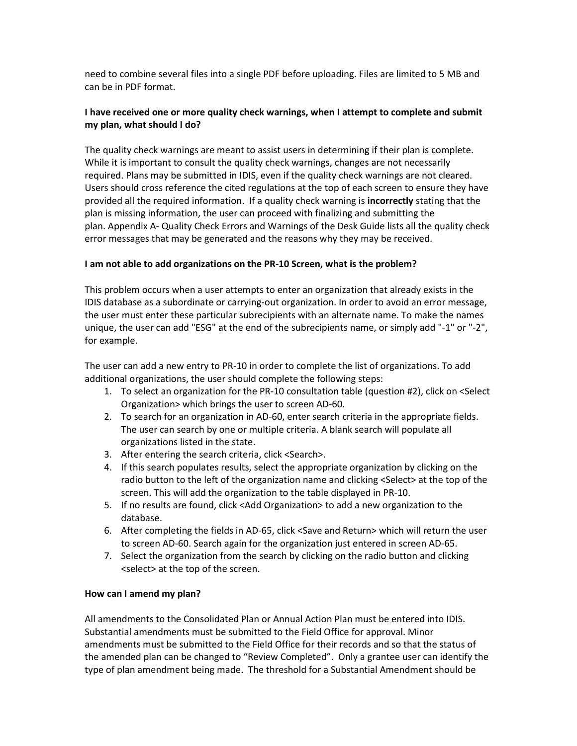need to combine several files into a single PDF before uploading. Files are limited to 5 MB and can be in PDF format.

## **I have received one or more quality check warnings, when I attempt to complete and submit my plan, what should I do?**

The quality check warnings are meant to assist users in determining if their plan is complete. While it is important to consult the quality check warnings, changes are not necessarily required. Plans may be submitted in IDIS, even if the quality check warnings are not cleared. Users should cross reference the cited regulations at the top of each screen to ensure they have provided all the required information. If a quality check warning is **incorrectly** stating that the plan is missing information, the user can proceed with finalizing and submitting the plan. Appendix A- Quality Check Errors and Warnings of the Desk Guide lists all the quality check error messages that may be generated and the reasons why they may be received.

## **I am not able to add organizations on the PR-10 Screen, what is the problem?**

This problem occurs when a user attempts to enter an organization that already exists in the IDIS database as a subordinate or carrying-out organization. In order to avoid an error message, the user must enter these particular subrecipients with an alternate name. To make the names unique, the user can add "ESG" at the end of the subrecipients name, or simply add "-1" or "-2", for example.

The user can add a new entry to PR-10 in order to complete the list of organizations. To add additional organizations, the user should complete the following steps:

- 1. To select an organization for the PR-10 consultation table (question #2), click on <Select Organization> which brings the user to screen AD-60.
- 2. To search for an organization in AD-60, enter search criteria in the appropriate fields. The user can search by one or multiple criteria. A blank search will populate all organizations listed in the state.
- 3. After entering the search criteria, click <Search>.
- 4. If this search populates results, select the appropriate organization by clicking on the radio button to the left of the organization name and clicking <Select> at the top of the screen. This will add the organization to the table displayed in PR-10.
- 5. If no results are found, click <Add Organization> to add a new organization to the database.
- 6. After completing the fields in AD-65, click <Save and Return> which will return the user to screen AD-60. Search again for the organization just entered in screen AD-65.
- 7. Select the organization from the search by clicking on the radio button and clicking <select> at the top of the screen.

## **How can I amend my plan?**

All amendments to the Consolidated Plan or Annual Action Plan must be entered into IDIS. Substantial amendments must be submitted to the Field Office for approval. Minor amendments must be submitted to the Field Office for their records and so that the status of the amended plan can be changed to "Review Completed". Only a grantee user can identify the type of plan amendment being made. The threshold for a Substantial Amendment should be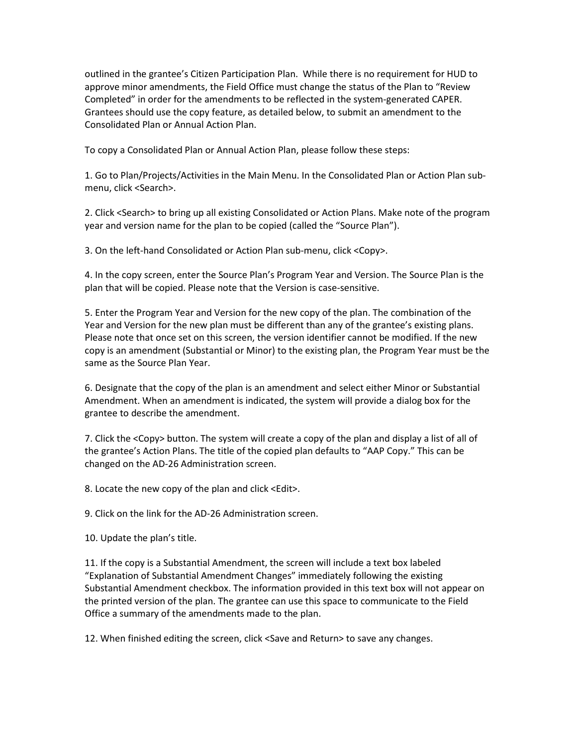outlined in the grantee's Citizen Participation Plan. While there is no requirement for HUD to approve minor amendments, the Field Office must change the status of the Plan to "Review Completed" in order for the amendments to be reflected in the system-generated CAPER. Grantees should use the copy feature, as detailed below, to submit an amendment to the Consolidated Plan or Annual Action Plan.

To copy a Consolidated Plan or Annual Action Plan, please follow these steps:

1. Go to Plan/Projects/Activities in the Main Menu. In the Consolidated Plan or Action Plan submenu, click <Search>.

2. Click <Search> to bring up all existing Consolidated or Action Plans. Make note of the program year and version name for the plan to be copied (called the "Source Plan").

3. On the left-hand Consolidated or Action Plan sub-menu, click <Copy>.

4. In the copy screen, enter the Source Plan's Program Year and Version. The Source Plan is the plan that will be copied. Please note that the Version is case-sensitive.

5. Enter the Program Year and Version for the new copy of the plan. The combination of the Year and Version for the new plan must be different than any of the grantee's existing plans. Please note that once set on this screen, the version identifier cannot be modified. If the new copy is an amendment (Substantial or Minor) to the existing plan, the Program Year must be the same as the Source Plan Year.

6. Designate that the copy of the plan is an amendment and select either Minor or Substantial Amendment. When an amendment is indicated, the system will provide a dialog box for the grantee to describe the amendment.

7. Click the <Copy> button. The system will create a copy of the plan and display a list of all of the grantee's Action Plans. The title of the copied plan defaults to "AAP Copy." This can be changed on the AD-26 Administration screen.

8. Locate the new copy of the plan and click <Edit>.

9. Click on the link for the AD-26 Administration screen.

10. Update the plan's title.

11. If the copy is a Substantial Amendment, the screen will include a text box labeled "Explanation of Substantial Amendment Changes" immediately following the existing Substantial Amendment checkbox. The information provided in this text box will not appear on the printed version of the plan. The grantee can use this space to communicate to the Field Office a summary of the amendments made to the plan.

12. When finished editing the screen, click <Save and Return> to save any changes.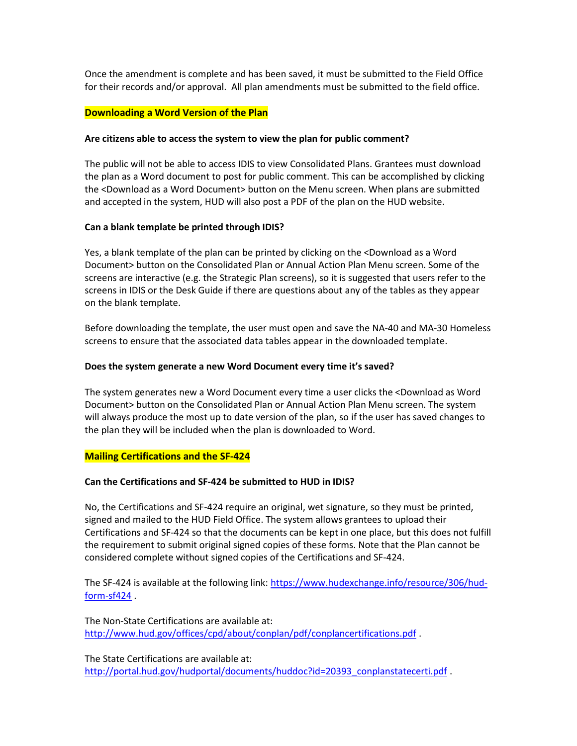Once the amendment is complete and has been saved, it must be submitted to the Field Office for their records and/or approval. All plan amendments must be submitted to the field office.

## **Downloading a Word Version of the Plan**

#### **Are citizens able to access the system to view the plan for public comment?**

The public will not be able to access IDIS to view Consolidated Plans. Grantees must download the plan as a Word document to post for public comment. This can be accomplished by clicking the <Download as a Word Document> button on the Menu screen. When plans are submitted and accepted in the system, HUD will also post a PDF of the plan on the HUD website.

## **Can a blank template be printed through IDIS?**

Yes, a blank template of the plan can be printed by clicking on the <Download as a Word Document> button on the Consolidated Plan or Annual Action Plan Menu screen. Some of the screens are interactive (e.g. the Strategic Plan screens), so it is suggested that users refer to the screens in IDIS or the Desk Guide if there are questions about any of the tables as they appear on the blank template.

Before downloading the template, the user must open and save the NA-40 and MA-30 Homeless screens to ensure that the associated data tables appear in the downloaded template.

#### **Does the system generate a new Word Document every time it's saved?**

The system generates new a Word Document every time a user clicks the <Download as Word Document> button on the Consolidated Plan or Annual Action Plan Menu screen. The system will always produce the most up to date version of the plan, so if the user has saved changes to the plan they will be included when the plan is downloaded to Word.

## **Mailing Certifications and the SF-424**

## **Can the Certifications and SF-424 be submitted to HUD in IDIS?**

No, the Certifications and SF-424 require an original, wet signature, so they must be printed, signed and mailed to the HUD Field Office. The system allows grantees to upload their Certifications and SF-424 so that the documents can be kept in one place, but this does not fulfill the requirement to submit original signed copies of these forms. Note that the Plan cannot be considered complete without signed copies of the Certifications and SF-424.

The SF-424 is available at the following link: [https://www.hudexchange.info/resource/306/hud](https://www.hudexchange.info/resource/306/hud-form-sf424)[form-sf424](https://www.hudexchange.info/resource/306/hud-form-sf424) .

The Non-State Certifications are available at: <http://www.hud.gov/offices/cpd/about/conplan/pdf/conplancertifications.pdf> .

The State Certifications are available at: [http://portal.hud.gov/hudportal/documents/huddoc?id=20393\\_conplanstatecerti.pdf](http://portal.hud.gov/hudportal/documents/huddoc?id=20393_conplanstatecerti.pdf) .